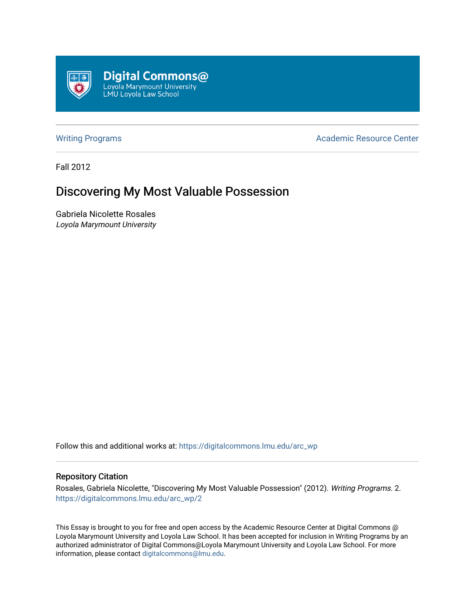

[Writing Programs](https://digitalcommons.lmu.edu/arc_wp) **Academic Resource Center** Academic Resource Center

Fall 2012

## Discovering My Most Valuable Possession

Gabriela Nicolette Rosales Loyola Marymount University

Follow this and additional works at: [https://digitalcommons.lmu.edu/arc\\_wp](https://digitalcommons.lmu.edu/arc_wp?utm_source=digitalcommons.lmu.edu%2Farc_wp%2F2&utm_medium=PDF&utm_campaign=PDFCoverPages)

## Repository Citation

Rosales, Gabriela Nicolette, "Discovering My Most Valuable Possession" (2012). Writing Programs. 2. [https://digitalcommons.lmu.edu/arc\\_wp/2](https://digitalcommons.lmu.edu/arc_wp/2?utm_source=digitalcommons.lmu.edu%2Farc_wp%2F2&utm_medium=PDF&utm_campaign=PDFCoverPages)

This Essay is brought to you for free and open access by the Academic Resource Center at Digital Commons @ Loyola Marymount University and Loyola Law School. It has been accepted for inclusion in Writing Programs by an authorized administrator of Digital Commons@Loyola Marymount University and Loyola Law School. For more information, please contact [digitalcommons@lmu.edu.](mailto:digitalcommons@lmu.edu)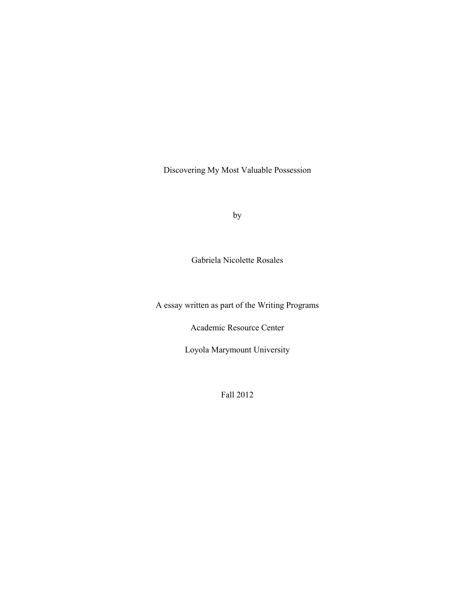Discovering My Most Valuable Possession

by

Gabriela Nicolette Rosales

A essay written as part of the Writing Programs

Academic Resource Center

Loyola Marymount University

Fall 2012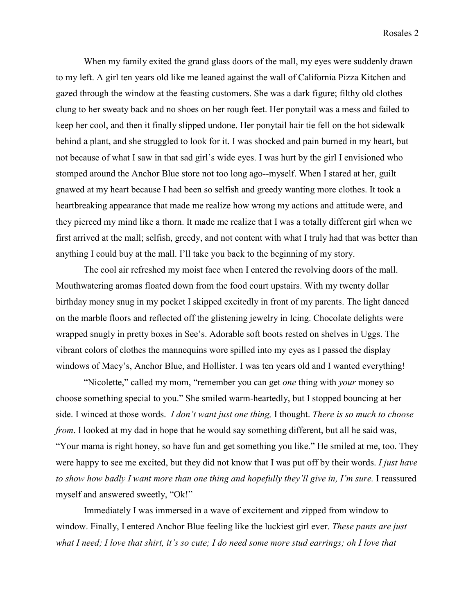When my family exited the grand glass doors of the mall, my eyes were suddenly drawn to my left. A girl ten years old like me leaned against the wall of California Pizza Kitchen and gazed through the window at the feasting customers. She was a dark figure; filthy old clothes clung to her sweaty back and no shoes on her rough feet. Her ponytail was a mess and failed to keep her cool, and then it finally slipped undone. Her ponytail hair tie fell on the hot sidewalk behind a plant, and she struggled to look for it. I was shocked and pain burned in my heart, but not because of what I saw in that sad girl's wide eyes. I was hurt by the girl I envisioned who stomped around the Anchor Blue store not too long ago--myself. When I stared at her, guilt gnawed at my heart because I had been so selfish and greedy wanting more clothes. It took a heartbreaking appearance that made me realize how wrong my actions and attitude were, and they pierced my mind like a thorn. It made me realize that I was a totally different girl when we first arrived at the mall; selfish, greedy, and not content with what I truly had that was better than anything I could buy at the mall. I'll take you back to the beginning of my story.

The cool air refreshed my moist face when I entered the revolving doors of the mall. Mouthwatering aromas floated down from the food court upstairs. With my twenty dollar birthday money snug in my pocket I skipped excitedly in front of my parents. The light danced on the marble floors and reflected off the glistening jewelry in Icing. Chocolate delights were wrapped snugly in pretty boxes in See's. Adorable soft boots rested on shelves in Uggs. The vibrant colors of clothes the mannequins wore spilled into my eyes as I passed the display windows of Macy's, Anchor Blue, and Hollister. I was ten years old and I wanted everything!

"Nicolette," called my mom, "remember you can get *one* thing with *your* money so choose something special to you." She smiled warm-heartedly, but I stopped bouncing at her side. I winced at those words. *I don't want just one thing,* I thought. *There is so much to choose from*. I looked at my dad in hope that he would say something different, but all he said was, "Your mama is right honey, so have fun and get something you like." He smiled at me, too. They were happy to see me excited, but they did not know that I was put off by their words. *I just have*  to show how badly I want more than one thing and hopefully they'll give in, I'm sure. I reassured myself and answered sweetly, "Ok!"

 Immediately I was immersed in a wave of excitement and zipped from window to window. Finally, I entered Anchor Blue feeling like the luckiest girl ever. *These pants are just what I need; I love that shirt, it's so cute; I do need some more stud earrings; oh I love that*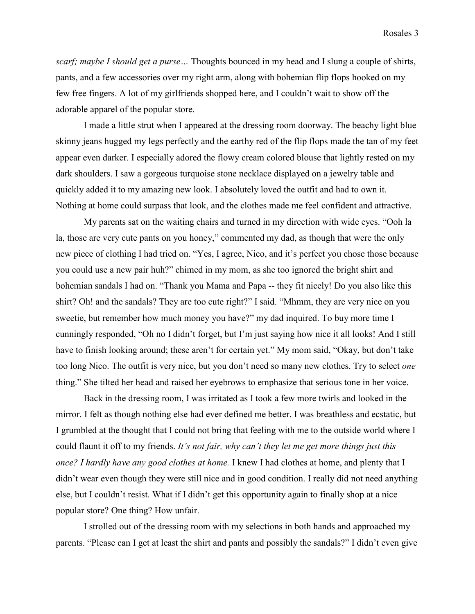*scarf; maybe I should get a purse…* Thoughts bounced in my head and I slung a couple of shirts, pants, and a few accessories over my right arm, along with bohemian flip flops hooked on my few free fingers. A lot of my girlfriends shopped here, and I couldn't wait to show off the adorable apparel of the popular store.

I made a little strut when I appeared at the dressing room doorway. The beachy light blue skinny jeans hugged my legs perfectly and the earthy red of the flip flops made the tan of my feet appear even darker. I especially adored the flowy cream colored blouse that lightly rested on my dark shoulders. I saw a gorgeous turquoise stone necklace displayed on a jewelry table and quickly added it to my amazing new look. I absolutely loved the outfit and had to own it. Nothing at home could surpass that look, and the clothes made me feel confident and attractive.

My parents sat on the waiting chairs and turned in my direction with wide eyes. "Ooh la la, those are very cute pants on you honey," commented my dad, as though that were the only new piece of clothing I had tried on. "Yes, I agree, Nico, and it's perfect you chose those because you could use a new pair huh?" chimed in my mom, as she too ignored the bright shirt and bohemian sandals I had on. "Thank you Mama and Papa -- they fit nicely! Do you also like this shirt? Oh! and the sandals? They are too cute right?" I said. "Mhmm, they are very nice on you sweetie, but remember how much money you have?" my dad inquired. To buy more time I cunningly responded, "Oh no I didn't forget, but I'm just saying how nice it all looks! And I still have to finish looking around; these aren't for certain yet." My mom said, "Okay, but don't take too long Nico. The outfit is very nice, but you don't need so many new clothes. Try to select *one*  thing." She tilted her head and raised her eyebrows to emphasize that serious tone in her voice.

Back in the dressing room, I was irritated as I took a few more twirls and looked in the mirror. I felt as though nothing else had ever defined me better. I was breathless and ecstatic, but I grumbled at the thought that I could not bring that feeling with me to the outside world where I could flaunt it off to my friends. *It's not fair, why can't they let me get more things just this once? I hardly have any good clothes at home.* I knew I had clothes at home, and plenty that I didn't wear even though they were still nice and in good condition. I really did not need anything else, but I couldn't resist. What if I didn't get this opportunity again to finally shop at a nice popular store? One thing? How unfair.

I strolled out of the dressing room with my selections in both hands and approached my parents. "Please can I get at least the shirt and pants and possibly the sandals?" I didn't even give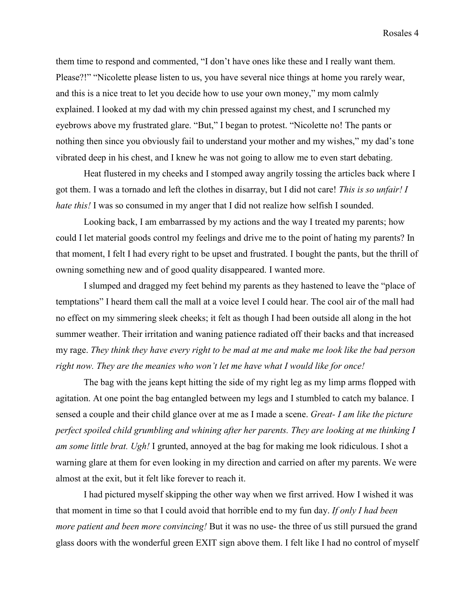them time to respond and commented, "I don't have ones like these and I really want them. Please?!" "Nicolette please listen to us, you have several nice things at home you rarely wear, and this is a nice treat to let you decide how to use your own money," my mom calmly explained. I looked at my dad with my chin pressed against my chest, and I scrunched my eyebrows above my frustrated glare. "But," I began to protest. "Nicolette no! The pants or nothing then since you obviously fail to understand your mother and my wishes," my dad's tone vibrated deep in his chest, and I knew he was not going to allow me to even start debating.

Heat flustered in my cheeks and I stomped away angrily tossing the articles back where I got them. I was a tornado and left the clothes in disarray, but I did not care! *This is so unfair! I hate this!* I was so consumed in my anger that I did not realize how selfish I sounded.

Looking back, I am embarrassed by my actions and the way I treated my parents; how could I let material goods control my feelings and drive me to the point of hating my parents? In that moment, I felt I had every right to be upset and frustrated. I bought the pants, but the thrill of owning something new and of good quality disappeared. I wanted more.

I slumped and dragged my feet behind my parents as they hastened to leave the "place of temptations" I heard them call the mall at a voice level I could hear. The cool air of the mall had no effect on my simmering sleek cheeks; it felt as though I had been outside all along in the hot summer weather. Their irritation and waning patience radiated off their backs and that increased my rage. *They think they have every right to be mad at me and make me look like the bad person right now. They are the meanies who won't let me have what I would like for once!* 

The bag with the jeans kept hitting the side of my right leg as my limp arms flopped with agitation. At one point the bag entangled between my legs and I stumbled to catch my balance. I sensed a couple and their child glance over at me as I made a scene. *Great- I am like the picture perfect spoiled child grumbling and whining after her parents. They are looking at me thinking I am some little brat. Ugh!* I grunted, annoyed at the bag for making me look ridiculous. I shot a warning glare at them for even looking in my direction and carried on after my parents. We were almost at the exit, but it felt like forever to reach it.

I had pictured myself skipping the other way when we first arrived. How I wished it was that moment in time so that I could avoid that horrible end to my fun day. *If only I had been more patient and been more convincing!* But it was no use- the three of us still pursued the grand glass doors with the wonderful green EXIT sign above them. I felt like I had no control of myself